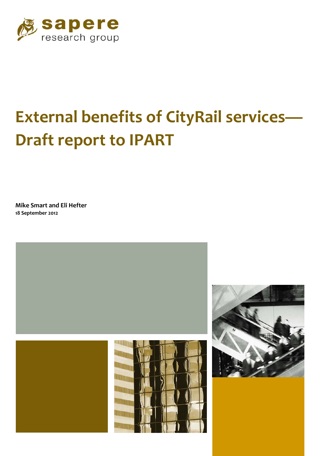

# **External benefits of CityRail services— Draft report to IPART**

**Mike Smart and Eli Hefter 18 September 2012**



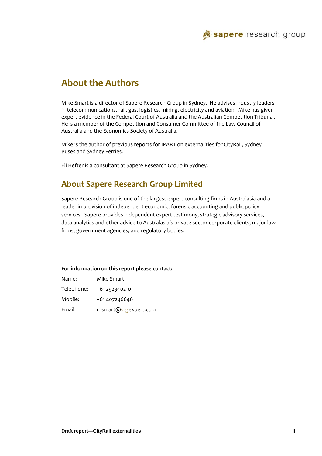

# **About the Authors**

Mike Smart is a director of Sapere Research Group in Sydney. He advises industry leaders in telecommunications, rail, gas, logistics, mining, electricity and aviation. Mike has given expert evidence in the Federal Court of Australia and the Australian Competition Tribunal. He is a member of the Competition and Consumer Committee of the Law Council of Australia and the Economics Society of Australia.

Mike is the author of previous reports for IPART on externalities for CityRail, Sydney Buses and Sydney Ferries.

Eli Hefter is a consultant at Sapere Research Group in Sydney.

### **About Sapere Research Group Limited**

Sapere Research Group is one of the largest expert consulting firms in Australasia and a leader in provision of independent economic, forensic accounting and public policy services. Sapere provides independent expert testimony, strategic advisory services, data analytics and other advice to Australasia's private sector corporate clients, major law firms, government agencies, and regulatory bodies.

#### **For information on this report please contact:**

| Name:      | Mike Smart           |
|------------|----------------------|
| Telephone: | +61 292340210        |
| Mobile:    | +61 407246646        |
| Email:     | msmart@srgexpert.com |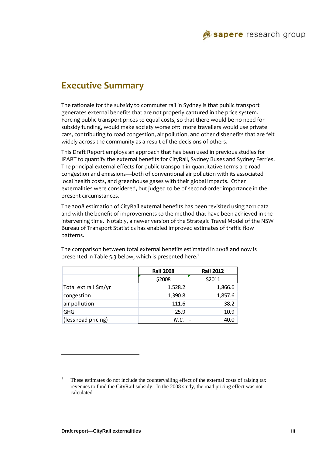# **Executive Summary**

The rationale for the subsidy to commuter rail in Sydney is that public transport generates external benefits that are not properly captured in the price system. Forcing public transport prices to equal costs, so that there would be no need for subsidy funding, would make society worse off: more travellers would use private cars, contributing to road congestion, air pollution, and other disbenefits that are felt widely across the community as a result of the decisions of others.

This Draft Report employs an approach that has been used in previous studies for IPART to quantify the external benefits for CityRail, Sydney Buses and Sydney Ferries. The principal external effects for public transport in quantitative terms are road congestion and emissions—both of conventional air pollution with its associated local health costs, and greenhouse gases with their global impacts. Other externalities were considered, but judged to be of second‐order importance in the present circumstances.

The 2008 estimation of CityRail external benefits has been revisited using 2011 data and with the benefit of improvements to the method that have been achieved in the intervening time. Notably, a newer version of the Strategic Travel Model of the NSW Bureau of Transport Statistics has enabled improved estimates of traffic flow patterns.

|                       | <b>Rail 2008</b> | <b>Rail 2012</b> |  |
|-----------------------|------------------|------------------|--|
|                       | \$2008           | \$2011           |  |
| Total ext rail \$m/yr | 1,528.2          | 1,866.6          |  |
| congestion            | 1,390.8          | 1,857.6          |  |
| air pollution         | 111.6            | 38.2             |  |
| <b>GHG</b>            | 25.9             | 10.9             |  |
| (less road pricing)   | N.C.             | 40.0             |  |

The comparison between total external benefits estimated in 2008 and now is presented in Table 5.3 below, which is presented here.<sup>1</sup>

l

<sup>1</sup> These estimates do not include the countervailing effect of the external costs of raising tax revenues to fund the CityRail subsidy. In the 2008 study, the road pricing effect was not calculated.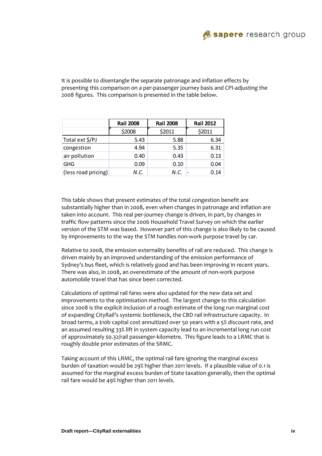

It is possible to disentangle the separate patronage and inflation effects by presenting this comparison on a per‐passenger journey basis and CPI‐adjusting the 2008 figures. This comparison is presented in the table below.

|                     | <b>Rail 2008</b> | <b>Rail 2008</b> | <b>Rail 2012</b> |
|---------------------|------------------|------------------|------------------|
|                     | \$2008           | \$2011           | \$2011           |
| Total ext \$/PJ     | 5.43             | 5.88             | 6.34             |
| congestion          | 4.94             | 5.35             | 6.31             |
| air pollution       | 0.40             | 0.43             | 0.13             |
| <b>GHG</b>          | 0.09             | 0.10             | 0.04             |
| (less road pricing) | N.C.             | N.C.             | 0.14             |

This table shows that present estimates of the total congestion benefit are substantially higher than in 2008, even when changes in patronage and inflation are taken into account. This real per‐journey change is driven, in part, by changes in traffic flow patterns since the 2006 Household Travel Survey on which the earlier version of the STM was based. However part of this change is also likely to be caused by improvements to the way the STM handles non-work purpose travel by car.

Relative to 2008, the emission externality benefits of rail are reduced. This change is driven mainly by an improved understanding of the emission performance of Sydney's bus fleet, which is relatively good and has been improving in recent years. There was also, in 2008, an overestimate of the amount of non-work purpose automobile travel that has since been corrected.

Calculations of optimal rail fares were also updated for the new data set and improvements to the optimisation method. The largest change to this calculation since 2008 is the explicit inclusion of a rough estimate of the long run marginal cost of expanding CityRail's systemic bottleneck, the CBD rail infrastructure capacity. In broad terms, a \$10b capital cost annuitized over 50 years with a 5% discount rate, and an assumed resulting 33% lift in system capacity lead to an incremental long run cost of approximately \$0.32/rail passenger-kilometre. This figure leads to a LRMC that is roughly double prior estimates of the SRMC.

Taking account of this LRMC, the optimal rail fare ignoring the marginal excess burden of taxation would be 29% higher than 2011 levels. If a plausible value of 0.1 is assumed for the marginal excess burden of State taxation generally, then the optimal rail fare would be 49% higher than 2011 levels.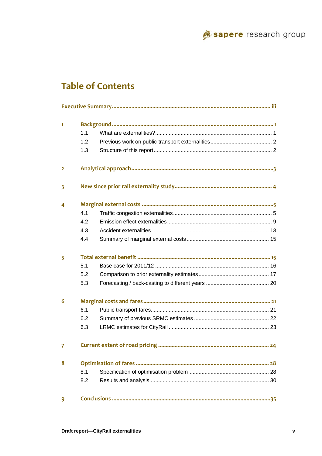

# **Table of Contents**

| $\mathbf{1}$            |     |  |
|-------------------------|-----|--|
|                         | 1.1 |  |
|                         | 1.2 |  |
|                         | 1.3 |  |
| $\overline{2}$          |     |  |
| $\overline{\mathbf{3}}$ |     |  |
| 4                       |     |  |
|                         | 4.1 |  |
|                         | 4.2 |  |
|                         | 4.3 |  |
|                         | 4.4 |  |
| 5                       |     |  |
|                         | 5.1 |  |
|                         | 5.2 |  |
|                         | 5.3 |  |
| 6                       |     |  |
|                         | 6.1 |  |
|                         | 6.2 |  |
|                         | 6.3 |  |
| $\overline{7}$          |     |  |
| 8                       |     |  |
|                         | 8.1 |  |
|                         | 8.2 |  |
| 9                       |     |  |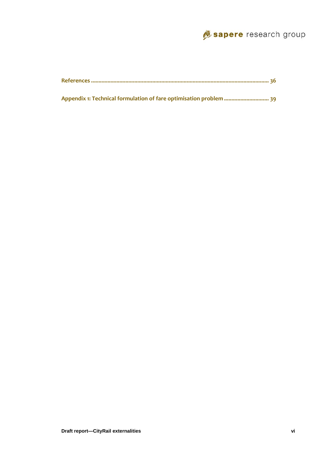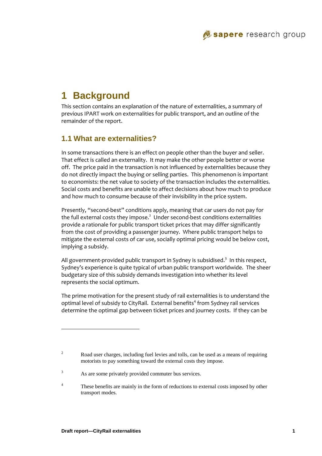# **1 Background**

This section contains an explanation of the nature of externalities, a summary of previous IPART work on externalities for public transport, and an outline of the remainder of the report.

### **1.1 What are externalities?**

In some transactions there is an effect on people other than the buyer and seller. That effect is called an externality. It may make the other people better or worse off. The price paid in the transaction is not influenced by externalities because they do not directly impact the buying or selling parties. This phenomenon is important to economists: the net value to society of the transaction includes the externalities. Social costs and benefits are unable to affect decisions about how much to produce and how much to consume because of their invisibility in the price system.

Presently, "second-best" conditions apply, meaning that car users do not pay for the full external costs they impose. $^2$  Under second-best conditions externalities provide a rationale for public transport ticket prices that may differ significantly from the cost of providing a passenger journey. Where public transport helps to mitigate the external costs of car use, socially optimal pricing would be below cost, implying a subsidy.

All government-provided public transport in Sydney is subsidised. $^3$  In this respect, Sydney's experience is quite typical of urban public transport worldwide. The sheer budgetary size of this subsidy demands investigation into whether its level represents the social optimum.

The prime motivation for the present study of rail externalities is to understand the optimal level of subsidy to CityRail. External benefits<sup>4</sup> from Sydney rail services determine the optimal gap between ticket prices and journey costs. If they can be

l

<sup>2</sup> Road user charges, including fuel levies and tolls, can be used as a means of requiring motorists to pay something toward the external costs they impose.

<sup>3</sup> As are some privately provided commuter bus services.

<sup>4</sup> These benefits are mainly in the form of reductions to external costs imposed by other transport modes.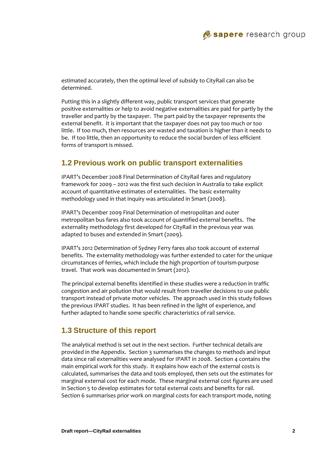

estimated accurately, then the optimal level of subsidy to CityRail can also be determined.

Putting this in a slightly different way, public transport services that generate positive externalities or help to avoid negative externalities are paid for partly by the traveller and partly by the taxpayer. The part paid by the taxpayer represents the external benefit. It is important that the taxpayer does not pay too much or too little. If too much, then resources are wasted and taxation is higher than it needs to be. If too little, then an opportunity to reduce the social burden of less efficient forms of transport is missed.

### **1.2 Previous work on public transport externalities**

IPART's December 2008 Final Determination of CityRail fares and regulatory framework for 2009 – 2012 was the first such decision in Australia to take explicit account of quantitative estimates of externalities. The basic externality methodology used in that inquiry was articulated in Smart (2008).

IPART's December 2009 Final Determination of metropolitan and outer metropolitan bus fares also took account of quantified external benefits. The externality methodology first developed for CityRail in the previous year was adapted to buses and extended in Smart (2009).

IPART's 2012 Determination of Sydney Ferry fares also took account of external benefits. The externality methodology was further extended to cater for the unique circumstances of ferries, which include the high proportion of tourism‐purpose travel. That work was documented in Smart (2012).

The principal external benefits identified in these studies were a reduction in traffic congestion and air pollution that would result from traveller decisions to use public transport instead of private motor vehicles. The approach used in this study follows the previous IPART studies. It has been refined in the light of experience, and further adapted to handle some specific characteristics of rail service.

### **1.3 Structure of this report**

The analytical method is set out in the next section. Further technical details are provided in the Appendix. Section 3 summarises the changes to methods and input data since rail externalities were analysed for IPART in 2008. Section 4 contains the main empirical work for this study. It explains how each of the external costs is calculated, summarises the data and tools employed, then sets out the estimates for marginal external cost for each mode. These marginal external cost figures are used in Section 5 to develop estimates for total external costs and benefits for rail. Section 6 summarises prior work on marginal costs for each transport mode, noting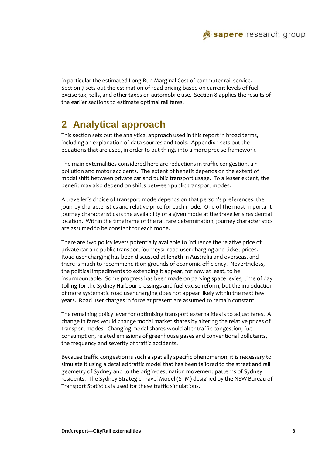

in particular the estimated Long Run Marginal Cost of commuter rail service. Section 7 sets out the estimation of road pricing based on current levels of fuel excise tax, tolls, and other taxes on automobile use. Section 8 applies the results of the earlier sections to estimate optimal rail fares.

# **2 Analytical approach**

This section sets out the analytical approach used in this report in broad terms, including an explanation of data sources and tools. Appendix 1 sets out the equations that are used, in order to put things into a more precise framework.

The main externalities considered here are reductions in traffic congestion, air pollution and motor accidents. The extent of benefit depends on the extent of modal shift between private car and public transport usage. To a lesser extent, the benefit may also depend on shifts between public transport modes.

A traveller's choice of transport mode depends on that person's preferences, the journey characteristics and relative price for each mode. One of the most important journey characteristics is the availability of a given mode at the traveller's residential location. Within the timeframe of the rail fare determination, journey characteristics are assumed to be constant for each mode.

There are two policy levers potentially available to influence the relative price of private car and public transport journeys: road user charging and ticket prices. Road user charging has been discussed at length in Australia and overseas, and there is much to recommend it on grounds of economic efficiency. Nevertheless, the political impediments to extending it appear, for now at least, to be insurmountable. Some progress has been made on parking space levies, time of day tolling for the Sydney Harbour crossings and fuel excise reform, but the introduction of more systematic road user charging does not appear likely within the next few years. Road user charges in force at present are assumed to remain constant.

The remaining policy lever for optimising transport externalities is to adjust fares. A change in fares would change modal market shares by altering the relative prices of transport modes. Changing modal shares would alter traffic congestion, fuel consumption, related emissions of greenhouse gases and conventional pollutants, the frequency and severity of traffic accidents.

Because traffic congestion is such a spatially specific phenomenon, it is necessary to simulate it using a detailed traffic model that has been tailored to the street and rail geometry of Sydney and to the origin‐destination movement patterns of Sydney residents. The Sydney Strategic Travel Model (STM) designed by the NSW Bureau of Transport Statistics is used for these traffic simulations.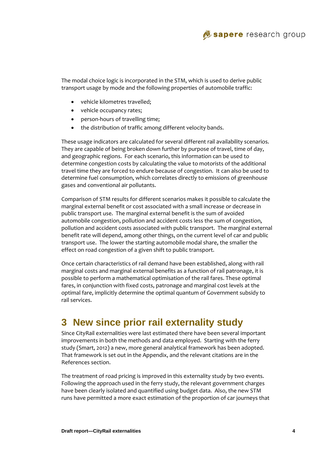

The modal choice logic is incorporated in the STM, which is used to derive public transport usage by mode and the following properties of automobile traffic:

- vehicle kilometres travelled;
- vehicle occupancy rates;
- person-hours of travelling time;
- the distribution of traffic among different velocity bands.

These usage indicators are calculated for several different rail availability scenarios. They are capable of being broken down further by purpose of travel, time of day, and geographic regions. For each scenario, this information can be used to determine congestion costs by calculating the value to motorists of the additional travel time they are forced to endure because of congestion. It can also be used to determine fuel consumption, which correlates directly to emissions of greenhouse gases and conventional air pollutants.

Comparison of STM results for different scenarios makes it possible to calculate the marginal external benefit or cost associated with a small increase or decrease in public transport use. The marginal external benefit is the sum of avoided automobile congestion, pollution and accident costs less the sum of congestion, pollution and accident costs associated with public transport. The marginal external benefit rate will depend, among other things, on the current level of car and public transport use. The lower the starting automobile modal share, the smaller the effect on road congestion of a given shift to public transport.

Once certain characteristics of rail demand have been established, along with rail marginal costs and marginal external benefits as a function of rail patronage, it is possible to perform a mathematical optimisation of the rail fares. These optimal fares, in conjunction with fixed costs, patronage and marginal cost levels at the optimal fare, implicitly determine the optimal quantum of Government subsidy to rail services.

# **3 New since prior rail externality study**

Since CityRail externalities were last estimated there have been several important improvements in both the methods and data employed. Starting with the ferry study (Smart, 2012) a new, more general analytical framework has been adopted. That framework is set out in the Appendix, and the relevant citations are in the References section.

The treatment of road pricing is improved in this externality study by two events. Following the approach used in the ferry study, the relevant government charges have been clearly isolated and quantified using budget data. Also, the new STM runs have permitted a more exact estimation of the proportion of car journeys that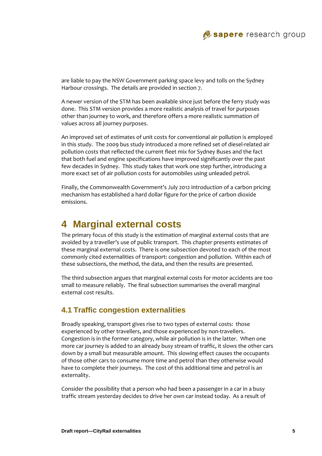

are liable to pay the NSW Government parking space levy and tolls on the Sydney Harbour crossings. The details are provided in section 7.

A newer version of the STM has been available since just before the ferry study was done. This STM version provides a more realistic analysis of travel for purposes other than journey to work, and therefore offers a more realistic summation of values across all journey purposes.

An improved set of estimates of unit costs for conventional air pollution is employed in this study. The 2009 bus study introduced a more refined set of diesel-related air pollution costs that reflected the current fleet mix for Sydney Buses and the fact that both fuel and engine specifications have improved significantly over the past few decades in Sydney. This study takes that work one step further, introducing a more exact set of air pollution costs for automobiles using unleaded petrol.

Finally, the Commonwealth Government's July 2012 introduction of a carbon pricing mechanism has established a hard dollar figure for the price of carbon dioxide emissions.

# **4 Marginal external costs**

The primary focus of this study is the estimation of marginal external costs that are avoided by a traveller's use of public transport. This chapter presents estimates of these marginal external costs. There is one subsection devoted to each of the most commonly cited externalities of transport: congestion and pollution. Within each of these subsections, the method, the data, and then the results are presented.

The third subsection argues that marginal external costs for motor accidents are too small to measure reliably. The final subsection summarises the overall marginal external cost results.

### **4.1 Traffic congestion externalities**

Broadly speaking, transport gives rise to two types of external costs: those experienced by other travellers, and those experienced by non-travellers. Congestion is in the former category, while air pollution is in the latter. When one more car journey is added to an already busy stream of traffic, it slows the other cars down by a small but measurable amount. This slowing effect causes the occupants of those other cars to consume more time and petrol than they otherwise would have to complete their journeys. The cost of this additional time and petrol is an externality.

Consider the possibility that a person who had been a passenger in a car in a busy traffic stream yesterday decides to drive her own car instead today. As a result of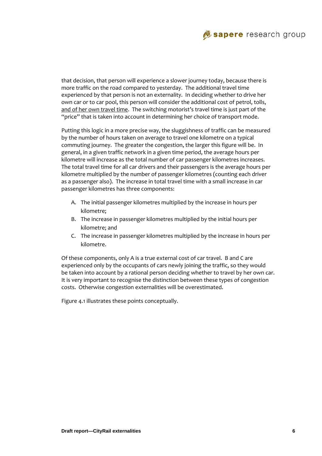

that decision, that person will experience a slower journey today, because there is more traffic on the road compared to yesterday. The additional travel time experienced by that person is not an externality. In deciding whether to drive her own car or to car pool, this person will consider the additional cost of petrol, tolls, and of her own travel time. The switching motorist's travel time is just part of the "price" that is taken into account in determining her choice of transport mode.

Putting this logic in a more precise way, the sluggishness of traffic can be measured by the number of hours taken on average to travel one kilometre on a typical commuting journey. The greater the congestion, the larger this figure will be. In general, in a given traffic network in a given time period, the average hours per kilometre will increase as the total number of car passenger kilometres increases. The total travel time for all car drivers and their passengers is the average hours per kilometre multiplied by the number of passenger kilometres (counting each driver as a passenger also). The increase in total travel time with a small increase in car passenger kilometres has three components:

- A. The initial passenger kilometres multiplied by the increase in hours per kilometre;
- B. The increase in passenger kilometres multiplied by the initial hours per kilometre; and
- C. The increase in passenger kilometres multiplied by the increase in hours per kilometre.

Of these components, only A is a true external cost of car travel. B and C are experienced only by the occupants of cars newly joining the traffic, so they would be taken into account by a rational person deciding whether to travel by her own car. It is very important to recognise the distinction between these types of congestion costs. Otherwise congestion externalities will be overestimated.

Figure 4.1 illustrates these points conceptually.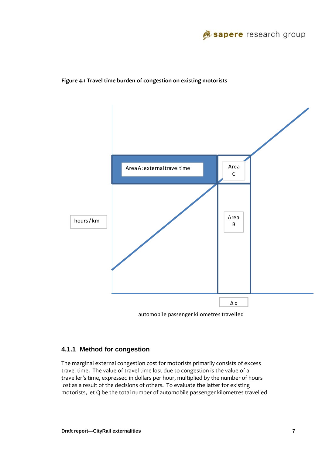

#### **Figure 4.1 Travel time burden of congestion on existing motorists**



automobile passenger kilometres travelled

#### **4.1.1 Method for congestion**

The marginal external congestion cost for motorists primarily consists of excess travel time. The value of travel time lost due to congestion is the value of a traveller's time, expressed in dollars per hour, multiplied by the number of hours lost as a result of the decisions of others. To evaluate the latter for existing motorists, let Q be the total number of automobile passenger kilometres travelled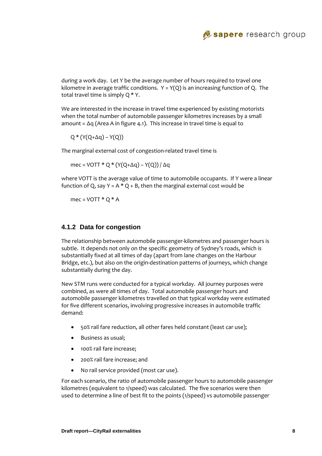

during a work day. Let Y be the average number of hours required to travel one kilometre in average traffic conditions.  $Y = Y(Q)$  is an increasing function of Q. The total travel time is simply  $Q * Y$ .

We are interested in the increase in travel time experienced by existing motorists when the total number of automobile passenger kilometres increases by a small amount = ∆q (Area A in figure 4.1). This increase in travel time is equal to

 $Q * (Y(Q + \Delta q) - Y(Q))$ 

The marginal external cost of congestion‐related travel time is

mec = VOTT \* Q \* (Y(Q+ $\Delta$ q) – Y(Q)) /  $\Delta$ q

where VOTT is the average value of time to automobile occupants. If Y were a linear function of Q, say  $Y = A * Q + B$ , then the marginal external cost would be

mec =  $VOTT * Q * A$ 

#### **4.1.2 Data for congestion**

The relationship between automobile passenger‐kilometres and passenger hours is subtle. It depends not only on the specific geometry of Sydney's roads, which is substantially fixed at all times of day (apart from lane changes on the Harbour Bridge, etc.), but also on the origin‐destination patterns of journeys, which change substantially during the day.

New STM runs were conducted for a typical workday. All journey purposes were combined, as were all times of day. Total automobile passenger hours and automobile passenger kilometres travelled on that typical workday were estimated for five different scenarios, involving progressive increases in automobile traffic demand:

- 50% rail fare reduction, all other fares held constant (least car use);
- Business as usual;
- 100% rail fare increase;
- 200% rail fare increase; and
- No rail service provided (most car use).

For each scenario, the ratio of automobile passenger hours to automobile passenger kilometres (equivalent to 1/speed) was calculated. The five scenarios were then used to determine a line of best fit to the points (1/speed) vs automobile passenger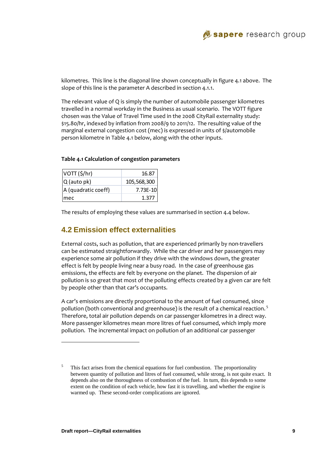

kilometres. This line is the diagonal line shown conceptually in figure 4.1 above. The slope of this line is the parameter A described in section 4.1.1.

The relevant value of Q is simply the number of automobile passenger kilometres travelled in a normal workday in the Business as usual scenario. The VOTT figure chosen was the Value of Travel Time used in the 2008 CityRail externality study: \$15.80/hr, indexed by inflation from 2008/9 to 2011/12. The resulting value of the marginal external congestion cost (mec) is expressed in units of \$/automobile person kilometre in Table 4.1 below, along with the other inputs.

| VOTT (\$/hr)        | 16.87       |
|---------------------|-------------|
| Q (auto pk)         | 105,568,300 |
| A (quadratic coeff) | 7.73E-10    |
| Imec                | 1.377       |

#### **Table 4.1 Calculation of congestion parameters**

The results of employing these values are summarised in section 4.4 below.

### **4.2 Emission effect externalities**

External costs, such as pollution, that are experienced primarily by non-travellers can be estimated straightforwardly. While the car driver and her passengers may experience some air pollution if they drive with the windows down, the greater effect is felt by people living near a busy road. In the case of greenhouse gas emissions, the effects are felt by everyone on the planet. The dispersion of air pollution is so great that most of the polluting effects created by a given car are felt by people other than that car's occupants.

A car's emissions are directly proportional to the amount of fuel consumed, since pollution (both conventional and greenhouse) is the result of a chemical reaction.<sup>5</sup> Therefore, total air pollution depends on car passenger kilometres in a direct way. More passenger kilometres mean more litres of fuel consumed, which imply more pollution. The incremental impact on pollution of an additional car passenger

l

<sup>5</sup> This fact arises from the chemical equations for fuel combustion. The proportionality between quantity of pollution and litres of fuel consumed, while strong, is not quite exact. It depends also on the thoroughness of combustion of the fuel. In turn, this depends to some extent on the condition of each vehicle, how fast it is travelling, and whether the engine is warmed up. These second-order complications are ignored.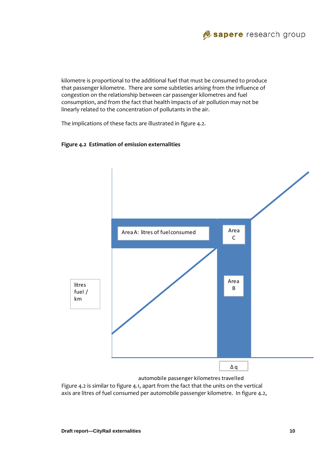

kilometre is proportional to the additional fuel that must be consumed to produce that passenger kilometre. There are some subtleties arising from the influence of congestion on the relationship between car passenger kilometres and fuel consumption, and from the fact that health impacts of air pollution may not be linearly related to the concentration of pollutants in the air.

The implications of these facts are illustrated in figure 4.2.





Figure 4.2 is similar to figure 4.1, apart from the fact that the units on the vertical axis are litres of fuel consumed per automobile passenger kilometre. In figure 4.2,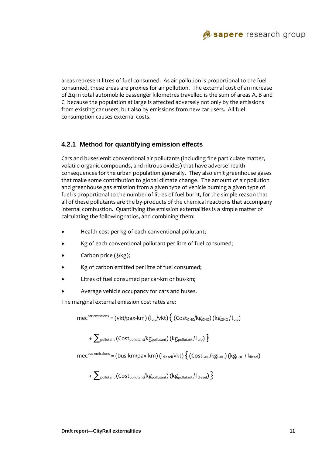

areas represent litres of fuel consumed. As air pollution is proportional to the fuel consumed, these areas are proxies for air pollution. The external cost of an increase of ∆q in total automobile passenger kilometres travelled is the sum of areas A, B and C because the population at large is affected adversely not only by the emissions from existing car users, but also by emissions from new car users. All fuel consumption causes external costs.

### **4.2.1 Method for quantifying emission effects**

Cars and buses emit conventional air pollutants (including fine particulate matter, volatile organic compounds, and nitrous oxides) that have adverse health consequences for the urban population generally. They also emit greenhouse gases that make some contribution to global climate change. The amount of air pollution and greenhouse gas emission from a given type of vehicle burning a given type of fuel is proportional to the number of litres of fuel burnt, for the simple reason that all of these pollutants are the by‐products of the chemical reactions that accompany internal combustion. Quantifying the emission externalities is a simple matter of calculating the following ratios, and combining them:

- Health cost per kg of each conventional pollutant;
- Kg of each conventional pollutant per litre of fuel consumed;
- Carbon price (\$/kg);
- Kg of carbon emitted per litre of fuel consumed;
- Litres of fuel consumed per car‐km or bus‐km;
- Average vehicle occupancy for cars and buses.

The marginal external emission cost rates are:

$$
mec^{car\text{ emissions}} = (vkt/pax\text{-}km)(I_{\text{ulp}}/vkt)\left\{ (Cost_{GHG}/kg_{GHG}) (kg_{GHG}/I_{\text{ulp}}) \right\}
$$

 $+\sum_{\text{pollutant}}$  (COSt<sub>pollutant</sub>/kg<sub>pollutant</sub>) (kg<sub>pollutant</sub>/l<sub>ulp</sub>) }

 $mec^{bus~emissions} = (bus-km/pay-km) (l_{diesel}/vkt) \{ (Cost_{GHG}/kg_{GHG}) (kg_{GHG}/l_{diesel})$ 

$$
+ \sum\nolimits_{\text{pollutant}} \big( \text{Cost}_{\text{pollutant}}/ \text{kg}_{\text{pollutant}} \big) \big( \text{kg}_{\text{pollutant}} / \text{I}_{\text{diesel}} \big) \Big\}
$$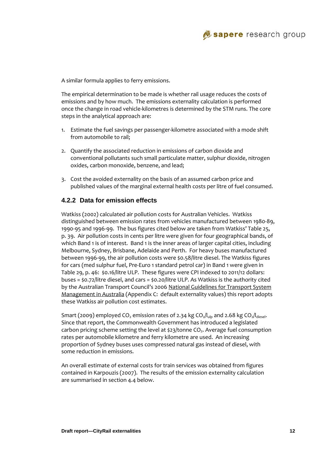

A similar formula applies to ferry emissions.

The empirical determination to be made is whether rail usage reduces the costs of emissions and by how much. The emissions externality calculation is performed once the change in road vehicle‐kilometres is determined by the STM runs. The core steps in the analytical approach are:

- 1. Estimate the fuel savings per passenger-kilometre associated with a mode shift from automobile to rail;
- 2. Quantify the associated reduction in emissions of carbon dioxide and conventional pollutants such small particulate matter, sulphur dioxide, nitrogen oxides, carbon monoxide, benzene, and lead;
- 3. Cost the avoided externality on the basis of an assumed carbon price and published values of the marginal external health costs per litre of fuel consumed.

#### **4.2.2 Data for emission effects**

Watkiss (2002) calculated air pollution costs for Australian Vehicles. Watkiss distinguished between emission rates from vehicles manufactured between 1980‐89, 1990‐95 and 1996‐99. The bus figures cited below are taken from Watkiss' Table 25, p. 39. Air pollution costs in cents per litre were given for four geographical bands, of which Band 1 is of interest. Band 1 is the inner areas of larger capital cities, including Melbourne, Sydney, Brisbane, Adelaide and Perth. For heavy buses manufactured between 1996‐99, the air pollution costs were \$0.58/litre diesel. The Watkiss figures for cars (med sulphur fuel, Pre‐Euro 1 standard petrol car) in Band 1 were given in Table 29, p. 46: \$0.16/litre ULP. These figures were CPI indexed to 2011/12 dollars: buses = \$0.72/litre diesel, and cars = \$0.20/litre ULP. As Watkiss is the authority cited by the Australian Transport Council's 2006 National Guidelines for Transport System Management in Australia (Appendix C: default externality values) this report adopts these Watkiss air pollution cost estimates.

Smart (2009) employed CO<sub>2</sub> emission rates of 2.34 kg CO<sub>2</sub>/l<sub>ulp</sub> and 2.68 kg CO<sub>2</sub>/l<sub>diesel</sub>. Since that report, the Commonwealth Government has introduced a legislated carbon pricing scheme setting the level at  $\frac{23}{100}$  consets and set all consumption rates per automobile kilometre and ferry kilometre are used. An increasing proportion of Sydney buses uses compressed natural gas instead of diesel, with some reduction in emissions.

An overall estimate of external costs for train services was obtained from figures contained in Karpouzis (2007). The results of the emission externality calculation are summarised in section 4.4 below.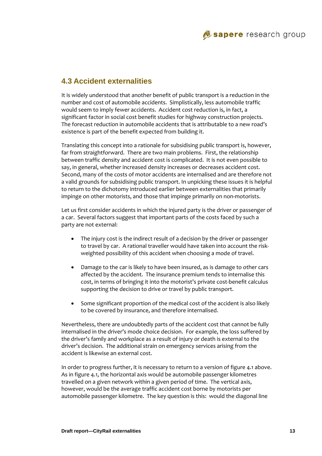# **4.3 Accident externalities**

It is widely understood that another benefit of public transport is a reduction in the number and cost of automobile accidents. Simplistically, less automobile traffic would seem to imply fewer accidents. Accident cost reduction is, in fact, a significant factor in social cost benefit studies for highway construction projects. The forecast reduction in automobile accidents that is attributable to a new road's existence is part of the benefit expected from building it.

Translating this concept into a rationale for subsidising public transport is, however, far from straightforward. There are two main problems. First, the relationship between traffic density and accident cost is complicated. It is not even possible to say, in general, whether increased density increases or decreases accident cost. Second, many of the costs of motor accidents are internalised and are therefore not a valid grounds for subsidising public transport. In unpicking these issues it is helpful to return to the dichotomy introduced earlier between externalities that primarily impinge on other motorists, and those that impinge primarily on non-motorists.

Let us first consider accidents in which the injured party is the driver or passenger of a car. Several factors suggest that important parts of the costs faced by such a party are not external:

- The injury cost is the indirect result of a decision by the driver or passenger to travel by car. A rational traveller would have taken into account the risk‐ weighted possibility of this accident when choosing a mode of travel.
- Damage to the car is likely to have been insured, as is damage to other cars affected by the accident. The insurance premium tends to internalise this cost, in terms of bringing it into the motorist's private cost-benefit calculus supporting the decision to drive or travel by public transport.
- Some significant proportion of the medical cost of the accident is also likely to be covered by insurance, and therefore internalised.

Nevertheless, there are undoubtedly parts of the accident cost that cannot be fully internalised in the driver's mode choice decision. For example, the loss suffered by the driver's family and workplace as a result of injury or death is external to the driver's decision. The additional strain on emergency services arising from the accident is likewise an external cost.

In order to progress further, it is necessary to return to a version of figure 4.1 above. As in figure 4.1, the horizontal axis would be automobile passenger kilometres travelled on a given network within a given period of time. The vertical axis, however, would be the average traffic accident cost borne by motorists per automobile passenger kilometre. The key question is this: would the diagonal line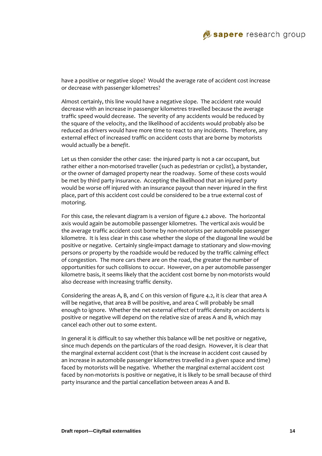

have a positive or negative slope? Would the average rate of accident cost increase or decrease with passenger kilometres?

Almost certainly, this line would have a negative slope. The accident rate would decrease with an increase in passenger kilometres travelled because the average traffic speed would decrease. The severity of any accidents would be reduced by the square of the velocity, and the likelihood of accidents would probably also be reduced as drivers would have more time to react to any incidents. Therefore, any external effect of increased traffic on accident costs that are borne by motorists would actually be a *benefit*.

Let us then consider the other case: the injured party is not a car occupant, but rather either a non-motorised traveller (such as pedestrian or cyclist), a bystander, or the owner of damaged property near the roadway. Some of these costs would be met by third party insurance. Accepting the likelihood that an injured party would be worse off injured with an insurance payout than never injured in the first place, part of this accident cost could be considered to be a true external cost of motoring.

For this case, the relevant diagram is a version of figure 4.2 above. The horizontal axis would again be automobile passenger kilometres. The vertical axis would be the average traffic accident cost borne by non‐motorists per automobile passenger kilometre. It is less clear in this case whether the slope of the diagonal line would be positive or negative. Certainly single‐impact damage to stationary and slow‐moving persons or property by the roadside would be reduced by the traffic calming effect of congestion. The more cars there are on the road, the greater the number of opportunities for such collisions to occur. However, on a per automobile passenger kilometre basis, it seems likely that the accident cost borne by non-motorists would also decrease with increasing traffic density.

Considering the areas A, B, and C on this version of figure 4.2, it is clear that area A will be negative, that area B will be positive, and area C will probably be small enough to ignore. Whether the net external effect of traffic density on accidents is positive or negative will depend on the relative size of areas A and B, which may cancel each other out to some extent.

In general it is difficult to say whether this balance will be net positive or negative, since much depends on the particulars of the road design. However, it is clear that the marginal external accident cost (that is the increase in accident cost caused by an increase in automobile passenger kilometres travelled in a given space and time) faced by motorists will be negative. Whether the marginal external accident cost faced by non-motorists is positive or negative, it is likely to be small because of third party insurance and the partial cancellation between areas A and B.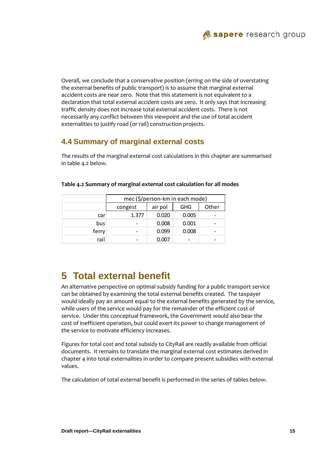Overall, we conclude that a conservative position (erring on the side of overstating the external benefits of public transport) is to assume that marginal external accident costs are near zero. Note that this statement is not equivalent to a declaration that total external accident costs are zero. It only says that increasing traffic density does not increase total external accident costs. There is not necessarily any conflict between this viewpoint and the use of total accident externalities to justify road (or rail) construction projects.

# **4.4 Summary of marginal external costs**

The results of the marginal external cost calculations in this chapter are summarised in table 4.2 below.

|       | mec (\$/person-km in each mode) |       |            |       |
|-------|---------------------------------|-------|------------|-------|
|       | air pol<br>congest              |       | <b>GHG</b> | Other |
| car   | 1.377                           | 0.020 | 0.005      |       |
| bus   |                                 | 0.008 | 0.001      |       |
| ferry |                                 | 0.099 | 0.008      |       |
| rail  |                                 | 0.007 |            |       |

#### **Table 4.2 Summary of marginal external cost calculation for all modes**

# **5 Total external benefit**

An alternative perspective on optimal subsidy funding for a public transport service can be obtained by examining the total external benefits created. The taxpayer would ideally pay an amount equal to the external benefits generated by the service, while users of the service would pay for the remainder of the efficient cost of service. Under this conceptual framework, the Government would also bear the cost of inefficient operation, but could exert its power to change management of the service to motivate efficiency increases.

Figures for total cost and total subsidy to CityRail are readily available from official documents. It remains to translate the marginal external cost estimates derived in chapter 4 into total externalities in order to compare present subsidies with external values.

The calculation of total external benefit is performed in the series of tables below.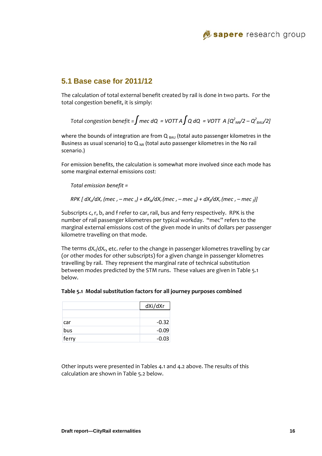## **5.1 Base case for 2011/12**

The calculation of total external benefit created by rail is done in two parts. For the total congestion benefit, it is simply:

```
Total congestion benefit = \int mec dQ \, = VOTT A \intQ dQ \, = VOTT \, A [Q^2<sub>NR</sub>/2 – Q^2<sub>BAU</sub>/2]
```
where the bounds of integration are from  $Q_{BAU}$  (total auto passenger kilometres in the Business as usual scenario) to  $Q_{NR}$  (total auto passenger kilometres in the No rail scenario.)

For emission benefits, the calculation is somewhat more involved since each mode has some marginal external emissions cost:

*Total emission benefit =* 

RPK [  $dX_c/dX_c$  (mec  $_c$  – mec  $_c$ ) +  $dX_b/dX_c$  (mec  $_c$  – mec  $_b$ ) +  $dX_f/dX_c$  (mec  $_c$  – mec  $_f$ )]

Subscripts c, r, b, and f refer to car, rail, bus and ferry respectively. RPK is the number of rail passenger kilometres per typical workday. "mec" refers to the marginal external emissions cost of the given mode in units of dollars per passenger kilometre travelling on that mode.

The terms  $dX_c/dX_r$ , etc. refer to the change in passenger kilometres travelling by car (or other modes for other subscripts) for a given change in passenger kilometres travelling by rail. They represent the marginal rate of technical substitution between modes predicted by the STM runs. These values are given in Table 5.1 below.

|  | Table 5.1 Modal substitution factors for all journey purposes combined |  |  |  |
|--|------------------------------------------------------------------------|--|--|--|
|--|------------------------------------------------------------------------|--|--|--|

|       | dXi/dXr |
|-------|---------|
|       |         |
| car   | $-0.32$ |
| bus   | $-0.09$ |
| ferry | $-0.03$ |

Other inputs were presented in Tables 4.1 and 4.2 above. The results of this calculation are shown in Table 5.2 below.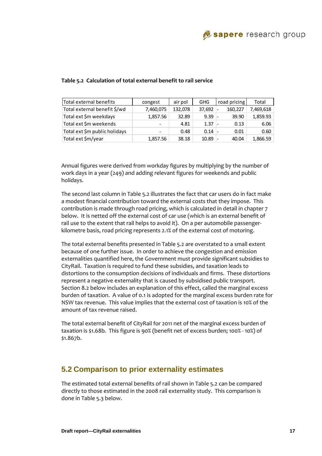| Total external benefits       | congest                      | air pol | GHG    | road pricing | Total     |
|-------------------------------|------------------------------|---------|--------|--------------|-----------|
| Total external benefit \$/wd  | 7,460,075                    | 132,078 | 37,692 | 160,227      | 7,469,618 |
| Total ext \$m weekdays        | 1,857.56                     | 32.89   | 9.39   | 39.90        | 1,859.93  |
| Total ext \$m weekends        | $\qquad \qquad \blacksquare$ | 4.81    | 1.37   | 0.13         | 6.06      |
| Total ext \$m public holidays | $\sim$                       | 0.48    | 0.14   | 0.01         | 0.60      |
| Total ext \$m/year            | 1,857.56                     | 38.18   | 10.89  | 40.04        | 1,866.59  |

#### **Table 5.2 Calculation of total external benefit to rail service**

Annual figures were derived from workday figures by multiplying by the number of work days in a year (249) and adding relevant figures for weekends and public holidays.

The second last column in Table 5.2 illustrates the fact that car users do in fact make a modest financial contribution toward the external costs that they impose. This contribution is made through road pricing, which is calculated in detail in chapter 7 below. It is netted off the external cost of car use (which is an external benefit of rail use to the extent that rail helps to avoid it). On a per automobile passenger‐ kilometre basis, road pricing represents 2.1% of the external cost of motoring.

The total external benefits presented in Table 5.2 are overstated to a small extent because of one further issue. In order to achieve the congestion and emission externalities quantified here, the Government must provide significant subsidies to CityRail. Taxation is required to fund these subsidies, and taxation leads to distortions to the consumption decisions of individuals and firms. These distortions represent a negative externality that is caused by subsidised public transport. Section 8.2 below includes an explanation of this effect, called the marginal excess burden of taxation. A value of 0.1 is adopted for the marginal excess burden rate for NSW tax revenue. This value implies that the external cost of taxation is 10% of the amount of tax revenue raised.

The total external benefit of CityRail for 2011 net of the marginal excess burden of taxation is \$1.68b. This figure is 90% (benefit net of excess burden; 100% ‐ 10%) of \$1.867b.

### **5.2 Comparison to prior externality estimates**

The estimated total external benefits of rail shown in Table 5.2 can be compared directly to those estimated in the 2008 rail externality study. This comparison is done in Table 5.3 below.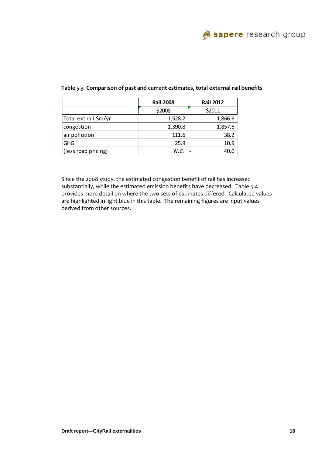|                       | <b>Rail 2008</b> | <b>Rail 2012</b> |  |
|-----------------------|------------------|------------------|--|
|                       | \$2008           | \$2011           |  |
| Total ext rail \$m/yr | 1,528.2          | 1,866.6          |  |
| congestion            | 1,390.8          | 1,857.6          |  |
| air pollution         | 111.6            | 38.2             |  |
| <b>GHG</b>            | 25.9             | 10.9             |  |
| (less road pricing)   | N.C.             | 40.0             |  |

#### **Table 5.3 Comparison of past and current estimates, total external rail benefits**

Since the 2008 study, the estimated congestion benefit of rail has increased substantially, while the estimated emission benefits have decreased. Table 5.4 provides more detail on where the two sets of estimates differed. Calculated values are highlighted in light blue in this table. The remaining figures are input values derived from other sources.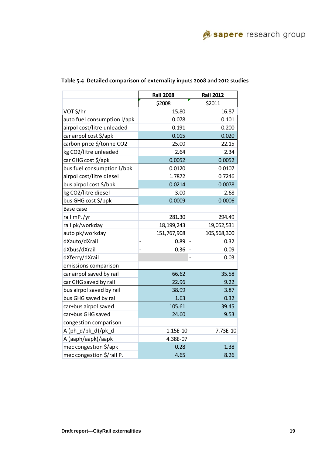|                             | <b>Rail 2008</b>       | <b>Rail 2012</b>          |
|-----------------------------|------------------------|---------------------------|
|                             | \$2008                 | \$2011                    |
| VOT \$/hr                   | 15.80                  | 16.87                     |
| auto fuel consumption I/apk | 0.078                  | 0.101                     |
| airpol cost/litre unleaded  | 0.191                  | 0.200                     |
| car airpol cost \$/apk      | 0.015                  | 0.020                     |
| carbon price \$/tonne CO2   | 25.00                  | 22.15                     |
| kg CO2/litre unleaded       | 2.64                   | 2.34                      |
| car GHG cost \$/apk         | 0.0052                 | 0.0052                    |
| bus fuel consumption I/bpk  | 0.0120                 | 0.0107                    |
| airpol cost/litre diesel    | 1.7872                 | 0.7246                    |
| bus airpol cost \$/bpk      | 0.0214                 | 0.0078                    |
| kg CO2/litre diesel         | 3.00                   | 2.68                      |
| bus GHG cost \$/bpk         | 0.0009                 | 0.0006                    |
| Base case                   |                        |                           |
| rail mPJ/yr                 | 281.30                 | 294.49                    |
| rail pk/workday             | 18, 199, 243           | 19,052,531                |
| auto pk/workday             | 151,767,908            | 105,568,300               |
| dXauto/dXrail               | 0.89<br>$\overline{a}$ | 0.32                      |
| dXbus/dXrail                | 0.36<br>$\overline{a}$ | 0.09<br>$\qquad \qquad -$ |
| dXferry/dXrail              |                        | 0.03                      |
| emissions comparison        |                        |                           |
| car airpol saved by rail    | 66.62                  | 35.58                     |
| car GHG saved by rail       | 22.96                  | 9.22                      |
| bus airpol saved by rail    | 38.99                  | 3.87                      |
| bus GHG saved by rail       | 1.63                   | 0.32                      |
| car+bus airpol saved        | 105.61                 | 39.45                     |
| car+bus GHG saved           | 24.60                  | 9.53                      |
| congestion comparison       |                        |                           |
| A (ph_d/pk_d)/pk_d          | 1.15E-10               | 7.73E-10                  |
| A (aaph/aapk)/aapk          | 4.38E-07               |                           |
| mec congestion \$/apk       | 0.28                   | 1.38                      |
| mec congestion \$/rail PJ   | 4.65                   | 8.26                      |

### **Table 5.4 Detailed comparison of externality inputs 2008 and 2012 studies**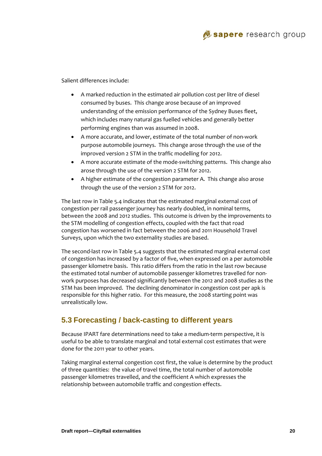

Salient differences include:

- A marked reduction in the estimated air pollution cost per litre of diesel consumed by buses. This change arose because of an improved understanding of the emission performance of the Sydney Buses fleet, which includes many natural gas fuelled vehicles and generally better performing engines than was assumed in 2008.
- A more accurate, and lower, estimate of the total number of non‐work purpose automobile journeys. This change arose through the use of the improved version 2 STM in the traffic modelling for 2012.
- A more accurate estimate of the mode-switching patterns. This change also arose through the use of the version 2 STM for 2012.
- A higher estimate of the congestion parameter A. This change also arose through the use of the version 2 STM for 2012.

The last row in Table 5.4 indicates that the estimated marginal external cost of congestion per rail passenger journey has nearly doubled, in nominal terms, between the 2008 and 2012 studies. This outcome is driven by the improvements to the STM modelling of congestion effects, coupled with the fact that road congestion has worsened in fact between the 2006 and 2011 Household Travel Surveys, upon which the two externality studies are based.

The second-last row in Table 5.4 suggests that the estimated marginal external cost of congestion has increased by a factor of five, when expressed on a per automobile passenger kilometre basis. This ratio differs from the ratio in the last row because the estimated total number of automobile passenger kilometres travelled for non‐ work purposes has decreased significantly between the 2012 and 2008 studies as the STM has been improved. The declining denominator in congestion cost per apk is responsible for this higher ratio. For this measure, the 2008 starting point was unrealistically low.

### **5.3 Forecasting / back-casting to different years**

Because IPART fare determinations need to take a medium-term perspective, it is useful to be able to translate marginal and total external cost estimates that were done for the 2011 year to other years.

Taking marginal external congestion cost first, the value is determine by the product of three quantities: the value of travel time, the total number of automobile passenger kilometres travelled, and the coefficient A which expresses the relationship between automobile traffic and congestion effects.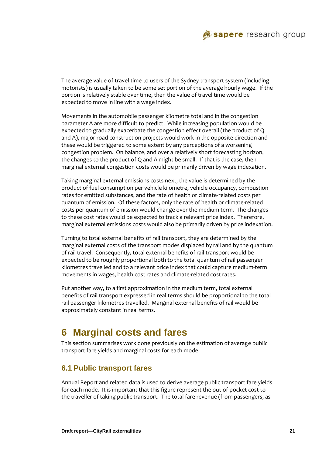

The average value of travel time to users of the Sydney transport system (including motorists) is usually taken to be some set portion of the average hourly wage. If the portion is relatively stable over time, then the value of travel time would be expected to move in line with a wage index.

Movements in the automobile passenger kilometre total and in the congestion parameter A are more difficult to predict. While increasing population would be expected to gradually exacerbate the congestion effect overall (the product of Q and A), major road construction projects would work in the opposite direction and these would be triggered to some extent by any perceptions of a worsening congestion problem. On balance, and over a relatively short forecasting horizon, the changes to the product of Q and A might be small. If that is the case, then marginal external congestion costs would be primarily driven by wage indexation.

Taking marginal external emissions costs next, the value is determined by the product of fuel consumption per vehicle kilometre, vehicle occupancy, combustion rates for emitted substances, and the rate of health or climate‐related costs per quantum of emission. Of these factors, only the rate of health or climate‐related costs per quantum of emission would change over the medium term. The changes to these cost rates would be expected to track a relevant price index. Therefore, marginal external emissions costs would also be primarily driven by price indexation.

Turning to total external benefits of rail transport, they are determined by the marginal external costs of the transport modes displaced by rail and by the quantum of rail travel. Consequently, total external benefits of rail transport would be expected to be roughly proportional both to the total quantum of rail passenger kilometres travelled and to a relevant price index that could capture medium‐term movements in wages, health cost rates and climate‐related cost rates.

Put another way, to a first approximation in the medium term, total external benefits of rail transport expressed in real terms should be proportional to the total rail passenger kilometres travelled. Marginal external benefits of rail would be approximately constant in real terms.

# **6 Marginal costs and fares**

This section summarises work done previously on the estimation of average public transport fare yields and marginal costs for each mode.

### **6.1 Public transport fares**

Annual Report and related data is used to derive average public transport fare yields for each mode. It is important that this figure represent the out‐of‐pocket cost to the traveller of taking public transport. The total fare revenue (from passengers, as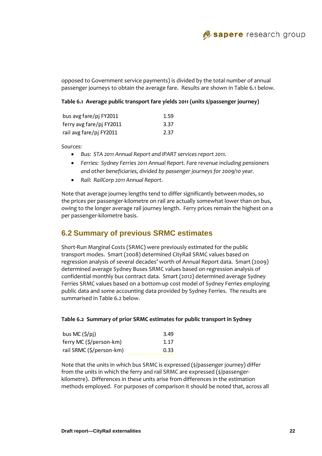

opposed to Government service payments) is divided by the total number of annual passenger journeys to obtain the average fare. Results are shown in Table 6.1 below.

#### **Table 6.1 Average public transport fare yields 2011 (units \$/passenger journey)**

| bus avg fare/pj FY2011   | 1.59 |
|--------------------------|------|
| ferry avg fare/pj FY2011 | 3.37 |
| rail avg fare/pj FY2011  | 2.37 |

*Sources:* 

- *Bus: STA 2011 Annual Report and IPART services report 2011.*
- *Ferries: Sydney Ferries 2011 Annual Report. Fare revenue including pensioners and other beneficiaries, divided by passenger journeys for 2009/10 year.*
- *Rail: RailCorp 2011 Annual Report*.

Note that average journey lengths tend to differ significantly between modes, so the prices per passenger‐kilometre on rail are actually somewhat lower than on bus, owing to the longer average rail journey length. Ferry prices remain the highest on a per passenger‐kilometre basis.

### **6.2 Summary of previous SRMC estimates**

Short‐Run Marginal Costs (SRMC) were previously estimated for the public transport modes. Smart (2008) determined CityRail SRMC values based on regression analysis of several decades' worth of Annual Report data. Smart (2009) determined average Sydney Buses SRMC values based on regression analysis of confidential monthly bus contract data. Smart (2012) determined average Sydney Ferries SRMC values based on a bottom-up cost model of Sydney Ferries employing public data and some accounting data provided by Sydney Ferries. The results are summarised in Table 6.2 below.

#### **Table 6.2 Summary of prior SRMC estimates for public transport in Sydney**

| bus MC $(5/pi)$          | 3.49 |
|--------------------------|------|
| ferry MC (\$/person-km)  | 1.17 |
| rail SRMC (\$/person-km) | 0.33 |

Note that the units in which bus SRMC is expressed (\$/passenger journey) differ from the units in which the ferry and rail SRMC are expressed (\$/passenger‐ kilometre). Differences in these units arise from differences in the estimation methods employed. For purposes of comparison it should be noted that, across all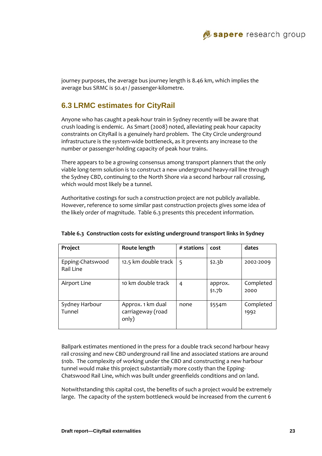

journey purposes, the average bus journey length is 8.46 km, which implies the average bus SRMC is \$0.41 / passenger‐kilometre.

### **6.3 LRMC estimates for CityRail**

Anyone who has caught a peak‐hour train in Sydney recently will be aware that crush loading is endemic. As Smart (2008) noted, alleviating peak hour capacity constraints on CityRail is a genuinely hard problem. The City Circle underground infrastructure is the system-wide bottleneck, as it prevents any increase to the number or passenger‐holding capacity of peak hour trains.

There appears to be a growing consensus among transport planners that the only viable long‐term solution is to construct a new underground heavy‐rail line through the Sydney CBD, continuing to the North Shore via a second harbour rail crossing, which would most likely be a tunnel.

Authoritative costings for such a construction project are not publicly available. However, reference to some similar past construction projects gives some idea of the likely order of magnitude. Table 6.3 presents this precedent information.

| Project                       | Route length                                    | # stations | cost                          | dates             |
|-------------------------------|-------------------------------------------------|------------|-------------------------------|-------------------|
| Epping-Chatswood<br>Rail Line | 12.5 km double track                            | 5          | \$2.3b                        | 2002-2009         |
| Airport Line                  | 10 km double track                              | 4          | approx.<br>\$1.7 <sub>b</sub> | Completed<br>2000 |
| Sydney Harbour<br>Tunnel      | Approx. 1 km dual<br>carriageway (road<br>only) | none       | \$554m                        | Completed<br>1992 |

#### **Table 6.3 Construction costs for existing underground transport links in Sydney**

Ballpark estimates mentioned in the press for a double track second harbour heavy rail crossing and new CBD underground rail line and associated stations are around \$10b. The complexity of working under the CBD and constructing a new harbour tunnel would make this project substantially more costly than the Epping‐ Chatswood Rail Line, which was built under greenfields conditions and on land.

Notwithstanding this capital cost, the benefits of such a project would be extremely large. The capacity of the system bottleneck would be increased from the current 6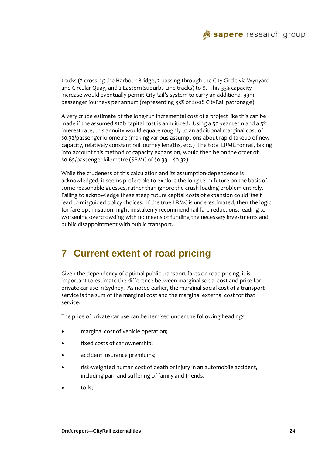

tracks (2 crossing the Harbour Bridge, 2 passing through the City Circle via Wynyard and Circular Quay, and 2 Eastern Suburbs Line tracks) to 8. This 33% capacity increase would eventually permit CityRail's system to carry an additional 93m passenger journeys per annum (representing 33% of 2008 CityRail patronage).

A very crude estimate of the long‐run incremental cost of a project like this can be made if the assumed \$10b capital cost is annuitized. Using a 50 year term and a 5% interest rate, this annuity would equate roughly to an additional marginal cost of \$0.32/passenger kilometre (making various assumptions about rapid takeup of new capacity, relatively constant rail journey lengths, etc.) The total LRMC for rail, taking into account this method of capacity expansion, would then be on the order of \$0.65/passenger kilometre (SRMC of \$0.33 + \$0.32).

While the crudeness of this calculation and its assumption‐dependence is acknowledged, it seems preferable to explore the long‐term future on the basis of some reasonable guesses, rather than ignore the crush-loading problem entirely. Failing to acknowledge these steep future capital costs of expansion could itself lead to misguided policy choices. If the true LRMC is underestimated, then the logic for fare optimisation might mistakenly recommend rail fare reductions, leading to worsening overcrowding with no means of funding the necessary investments and public disappointment with public transport.

# **7 Current extent of road pricing**

Given the dependency of optimal public transport fares on road pricing, it is important to estimate the difference between marginal social cost and price for private car use in Sydney. As noted earlier, the marginal social cost of a transport service is the sum of the marginal cost and the marginal external cost for that service.

The price of private car use can be itemised under the following headings:

- marginal cost of vehicle operation;
- fixed costs of car ownership;
- accident insurance premiums;
- risk‐weighted human cost of death or injury in an automobile accident, including pain and suffering of family and friends.
- tolls;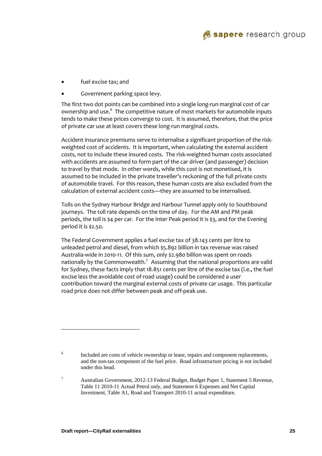

- fuel excise tax; and
- Government parking space levy.

The first two dot points can be combined into a single long-run marginal cost of car ownership and use.<sup>6</sup> The competitive nature of most markets for automobile inputs tends to make these prices converge to cost. It is assumed, therefore, that the price of private car use at least covers these long‐run marginal costs.

Accident insurance premiums serve to internalise a significant proportion of the risk‐ weighted cost of accidents. It is important, when calculating the external accident costs, not to include these insured costs. The risk‐weighted human costs associated with accidents are assumed to form part of the car driver (and passenger) decision to travel by that mode. In other words, while this cost is not monetised, it is assumed to be included in the private traveller's reckoning of the full private costs of automobile travel. For this reason, these human costs are also excluded from the calculation of external accident costs—they are assumed to be internalised.

Tolls on the Sydney Harbour Bridge and Harbour Tunnel apply only to Southbound journeys. The toll rate depends on the time of day. For the AM and PM peak periods, the toll is \$4 per car. For the Inter Peak period it is \$3, and for the Evening period it is \$2.50.

The Federal Government applies a fuel excise tax of 38.143 cents per litre to unleaded petrol and diesel, from which \$5.892 billion in tax revenue was raised Australia‐wide in 2010‐11. Of this sum, only \$2.980 billion was spent on roads nationally by the Commonwealth.<sup>7</sup> Assuming that the national proportions are valid for Sydney, these facts imply that 18.851 cents per litre of the excise tax (i.e., the fuel excise less the avoidable cost of road usage) could be considered a user contribution toward the marginal external costs of private car usage. This particular road price does not differ between peak and off‐peak use.

l

<sup>6</sup> Included are costs of vehicle ownership or lease, repairs and component replacements, and the non-tax component of the fuel price. Road infrastructure pricing is not included under this head.

<sup>7</sup> Australian Government, 2012-13 Federal Budget, Budget Paper 1, Statement 5 Revenue, Table 11 2010-11 Actual Petrol only, and Statement 6 Expenses and Net Capital Investment, Table A1, Road and Transport 2010-11 actual expenditure.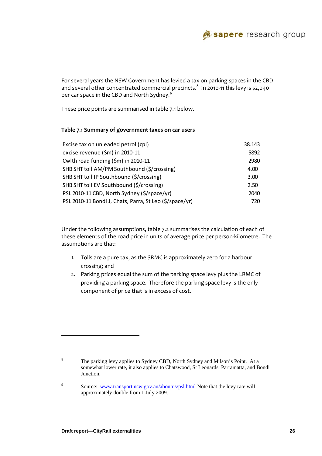

For several years the NSW Government has levied a tax on parking spaces in the CBD and several other concentrated commercial precincts. $^8\,$  In 2010-11 this levy is \$2,040  $\,$ per car space in the CBD and North Sydney. $^9$ 

These price points are summarised in table 7.1 below.

#### **Table 7.1 Summary of government taxes on car users**

| Excise tax on unleaded petrol (cpl)                     | 38.143 |
|---------------------------------------------------------|--------|
| excise revenue (\$m) in 2010-11                         | 5892   |
| Cwlth road funding (\$m) in 2010-11                     | 2980   |
| SHB SHT toll AM/PM Southbound (\$/crossing)             | 4.00   |
| SHB SHT toll IP Southbound (\$/crossing)                | 3.00   |
| SHB SHT toll EV Southbound (\$/crossing)                | 2.50   |
| PSL 2010-11 CBD, North Sydney (\$/space/yr)             | 2040   |
| PSL 2010-11 Bondi J, Chats, Parra, St Leo (\$/space/yr) | 720    |

Under the following assumptions, table 7.2 summarises the calculation of each of these elements of the road price in units of average price per person‐kilometre. The assumptions are that:

- 1. Tolls are a pure tax, as the SRMC is approximately zero for a harbour crossing; and
- 2. Parking prices equal the sum of the parking space levy plus the LRMC of providing a parking space. Therefore the parking space levy is the only component of price that is in excess of cost.

l

9

<sup>8</sup> The parking levy applies to Sydney CBD, North Sydney and Milson's Point. At a somewhat lower rate, it also applies to Chatswood, St Leonards, Parramatta, and Bondi Junction.

Source: www.transport.nsw.gov.au/aboutus/psl.html Note that the levy rate will approximately double from 1 July 2009.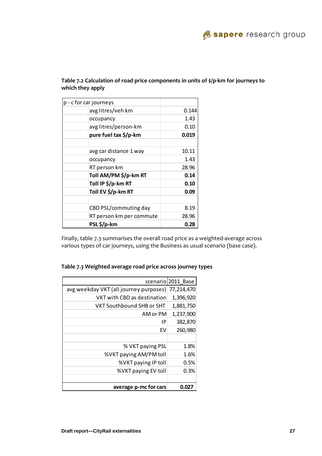| p - c for car journeys   |       |
|--------------------------|-------|
| avg litres/veh km        | 0.144 |
| occupancy                | 1.43  |
| avg litres/person-km     | 0.10  |
| pure fuel tax \$/p-km    | 0.019 |
|                          |       |
| avg car distance 1 way   | 10.11 |
| occupancy                | 1.43  |
| RT person km             | 28.96 |
| Toll AM/PM \$/p-km RT    | 0.14  |
| Toll IP \$/p-km RT       | 0.10  |
| Toll EV \$/p-km RT       | 0.09  |
|                          |       |
| CBD PSL/commuting day    | 8.19  |
| RT person km per commute | 28.96 |
| PSL\$/p-km               | 0.28  |

#### **Table 7.2 Calculation of road price components in units of \$/p‐km for journeys to which they apply**

Finally, table 7.3 summarises the overall road price as a weighted‐average across various types of car journeys, using the Business as usual scenario (base case).

|                                        | scenario 2011 Base |
|----------------------------------------|--------------------|
| avg weekday VKT (all journey purposes) | 77,214,470         |
| VKT with CBD as destination            | 1,396,920          |
| VKT Southbound SHB or SHT              | 1,881,750          |
| AM or PM                               | 1,237,900          |
| ΙP                                     | 382,870            |
| FV                                     | 260,980            |
|                                        |                    |
| % VKT paying PSL                       | 1.8%               |
| %VKT paying AM/PM toll                 | 1.6%               |
| %VKT paying IP toll                    | 0.5%               |
| %VKT paying EV toll                    | 0.3%               |
|                                        |                    |
| average p-mc for cars                  | 0.027              |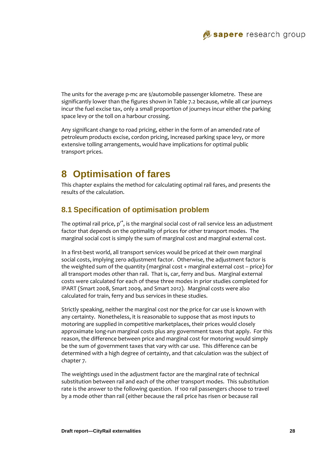The units for the average p-mc are \$/automobile passenger kilometre. These are significantly lower than the figures shown in Table 7.2 because, while all car journeys incur the fuel excise tax, only a small proportion of journeys incur either the parking space levy or the toll on a harbour crossing.

Any significant change to road pricing, either in the form of an amended rate of petroleum products excise, cordon pricing, increased parking space levy, or more extensive tolling arrangements, would have implications for optimal public transport prices.

# **8 Optimisation of fares**

This chapter explains the method for calculating optimal rail fares, and presents the results of the calculation.

### **8.1 Specification of optimisation problem**

The optimal rail price,  $p^{r^*}$ , is the marginal social cost of rail service less an adjustment factor that depends on the optimality of prices for other transport modes. The marginal social cost is simply the sum of marginal cost and marginal external cost.

In a first-best world, all transport services would be priced at their own marginal social costs, implying zero adjustment factor. Otherwise, the adjustment factor is the weighted sum of the quantity (marginal cost + marginal external cost – price) for all transport modes other than rail. That is, car, ferry and bus. Marginal external costs were calculated for each of these three modes in prior studies completed for IPART (Smart 2008, Smart 2009, and Smart 2012). Marginal costs were also calculated for train, ferry and bus services in these studies.

Strictly speaking, neither the marginal cost nor the price for car use is known with any certainty. Nonetheless, it is reasonable to suppose that as most inputs to motoring are supplied in competitive marketplaces, their prices would closely approximate long‐run marginal costs plus any government taxes that apply. For this reason, the difference between price and marginal cost for motoring would simply be the sum of government taxes that vary with car use. This difference can be determined with a high degree of certainty, and that calculation was the subject of chapter 7.

The weightings used in the adjustment factor are the marginal rate of technical substitution between rail and each of the other transport modes. This substitution rate is the answer to the following question. If 100 rail passengers choose to travel by a mode other than rail (either because the rail price has risen or because rail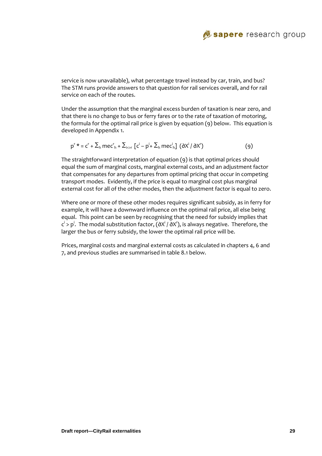

service is now unavailable), what percentage travel instead by car, train, and bus? The STM runs provide answers to that question for rail services overall, and for rail service on each of the routes.

Under the assumption that the marginal excess burden of taxation is near zero, and that there is no change to bus or ferry fares or to the rate of taxation of motoring, the formula for the optimal rail price is given by equation (9) below. This equation is developed in Appendix 1.

$$
p^{r*} = c^{r} + \sum_{h} \text{m}ec^{r}_{h} + \sum_{i > r} \left[c^{i} - p^{i} + \sum_{h} \text{m}ec^{i}_{h}\right] \left(\frac{\partial X^{i}}{\partial X^{r}}\right) \tag{9}
$$

The straightforward interpretation of equation (9) is that optimal prices should equal the sum of marginal costs, marginal external costs, and an adjustment factor that compensates for any departures from optimal pricing that occur in competing transport modes. Evidently, if the price is equal to marginal cost plus marginal external cost for all of the other modes, then the adjustment factor is equal to zero.

Where one or more of these other modes requires significant subsidy, as in ferry for example, it will have a downward influence on the optimal rail price, all else being equal. This point can be seen by recognising that the need for subsidy implies that  $\mathsf{c}^{\mathsf{i}}$  >  $\mathsf{p}^{\mathsf{i}}.$  The modal substitution factor, (∂X $^{\mathsf{i}}$  / ∂X $^{\mathsf{r}}$ ), is always negative. Therefore, the larger the bus or ferry subsidy, the lower the optimal rail price will be.

Prices, marginal costs and marginal external costs as calculated in chapters 4, 6 and 7, and previous studies are summarised in table 8.1 below.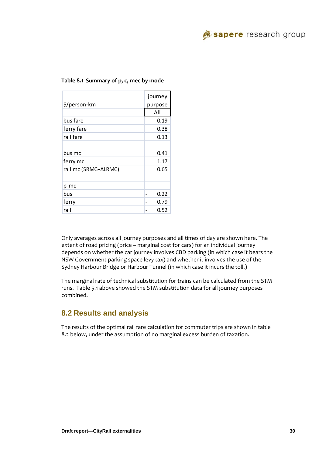

|                      | journey |
|----------------------|---------|
| \$/person-km         | purpose |
|                      | All     |
| bus fare             | 0.19    |
| ferry fare           | 0.38    |
| rail fare            | 0.13    |
|                      |         |
| bus mc               | 0.41    |
| ferry mc             | 1.17    |
| rail mc (SRMC+∆LRMC) | 0.65    |
|                      |         |
| p-mc                 |         |
| bus                  | 0.22    |
| ferry                | 0.79    |
| rail                 | 0.52    |

#### **Table 8.1 Summary of p, c, mec by mode**

Only averages across all journey purposes and all times of day are shown here. The extent of road pricing (price – marginal cost for cars) for an individual journey depends on whether the car journey involves CBD parking (in which case it bears the NSW Government parking space levy tax) and whether it involves the use of the Sydney Harbour Bridge or Harbour Tunnel (in which case it incurs the toll.)

The marginal rate of technical substitution for trains can be calculated from the STM runs. Table 5.1 above showed the STM substitution data for all journey purposes combined.

### **8.2 Results and analysis**

The results of the optimal rail fare calculation for commuter trips are shown in table 8.2 below, under the assumption of no marginal excess burden of taxation.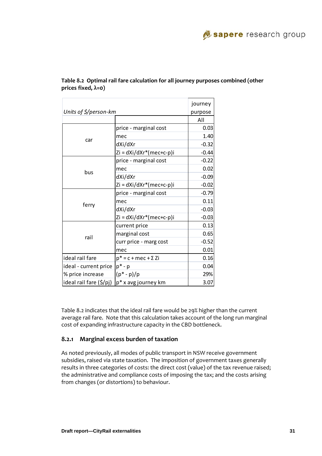|                                         |                               | journey |
|-----------------------------------------|-------------------------------|---------|
| Units of $\frac{2}{\sqrt{2}}$ person-km |                               | purpose |
|                                         |                               | All     |
|                                         | price - marginal cost         | 0.03    |
|                                         | mec                           | 1.40    |
| car                                     | dXi/dXr                       | $-0.32$ |
|                                         | $Zi = dXi/dXr*(mec+c-p)i$     | $-0.44$ |
|                                         | price - marginal cost         | $-0.22$ |
|                                         | mec                           | 0.02    |
| bus                                     | dXi/dXr                       | $-0.09$ |
|                                         | $Zi = dXi/dXr*(mec+c-p)i$     | $-0.02$ |
|                                         | price - marginal cost         | $-0.79$ |
|                                         | mec                           | 0.11    |
| ferry                                   | dXi/dXr                       | $-0.03$ |
|                                         | $Zi = dXi/dXr*(mec+c-p)i$     | $-0.03$ |
|                                         | current price                 | 0.13    |
|                                         | marginal cost                 | 0.65    |
| rail                                    | curr price - marg cost        | $-0.52$ |
|                                         | mec                           | 0.01    |
| ideal rail fare                         | $p^*$ = c + mec + $\Sigma$ Zi | 0.16    |
| ideal - current price                   | $p^*$ - $p$                   | 0.04    |
| % price increase                        | $(p^* - p)/p$                 | 29%     |
| ideal rail fare (\$/pj)                 | p* x avg journey km           | 3.07    |

**Table 8.2 Optimal rail fare calculation for all journey purposes combined (other prices fixed, λ=0)**

Table 8.2 indicates that the ideal rail fare would be 29% higher than the current average rail fare. Note that this calculation takes account of the long run marginal cost of expanding infrastructure capacity in the CBD bottleneck.

#### **8.2.1 Marginal excess burden of taxation**

As noted previously, all modes of public transport in NSW receive government subsidies, raised via state taxation. The imposition of government taxes generally results in three categories of costs: the direct cost (value) of the tax revenue raised; the administrative and compliance costs of imposing the tax; and the costs arising from changes (or distortions) to behaviour.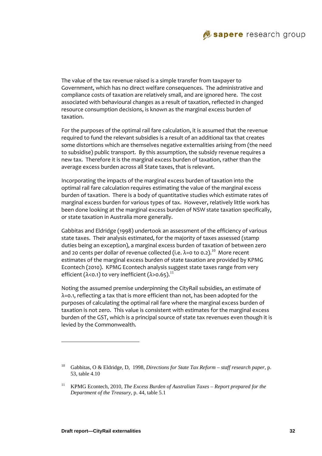

The value of the tax revenue raised is a simple transfer from taxpayer to Government, which has no direct welfare consequences. The administrative and compliance costs of taxation are relatively small, and are ignored here. The cost associated with behavioural changes as a result of taxation, reflected in changed resource consumption decisions, is known as the marginal excess burden of taxation.

For the purposes of the optimal rail fare calculation, it is assumed that the revenue required to fund the relevant subsidies is a result of an additional tax that creates some distortions which are themselves negative externalities arising from (the need to subsidise) public transport. By this assumption, the subsidy revenue requires a new tax. Therefore it is the marginal excess burden of taxation, rather than the average excess burden across all State taxes, that is relevant.

Incorporating the impacts of the marginal excess burden of taxation into the optimal rail fare calculation requires estimating the value of the marginal excess burden of taxation. There is a body of quantitative studies which estimate rates of marginal excess burden for various types of tax. However, relatively little work has been done looking at the marginal excess burden of NSW state taxation specifically, or state taxation in Australia more generally.

Gabbitas and Eldridge (1998) undertook an assessment of the efficiency of various state taxes. Their analysis estimated, for the majority of taxes assessed (stamp duties being an exception), a marginal excess burden of taxation of between zero and 20 cents per dollar of revenue collected (i.e.  $\lambda$ =0 to 0.2).<sup>10</sup> More recent estimates of the marginal excess burden of state taxation are provided by KPMG Econtech (2010). KPMG Econtech analysis suggest state taxes range from very efficient ( $\lambda$ <0.1) to very inefficient ( $\lambda$ >0.65).<sup>11</sup>

Noting the assumed premise underpinning the CityRail subsidies, an estimate of λ=0.1, reflecting a tax that is more efficient than not, has been adopted for the purposes of calculating the optimal rail fare where the marginal excess burden of taxation is not zero. This value is consistent with estimates for the marginal excess burden of the GST, which is a principal source of state tax revenues even though it is levied by the Commonwealth.

l

<sup>10</sup> Gabbitas, O & Eldridge, D, 1998, *Directions for State Tax Reform – staff research paper*, p. 53, table 4.10

<sup>&</sup>lt;sup>11</sup> KPMG Econtech, 2010, *The Excess Burden of Australian Taxes – Report prepared for the Department of the Treasury*, p. 44, table 5.1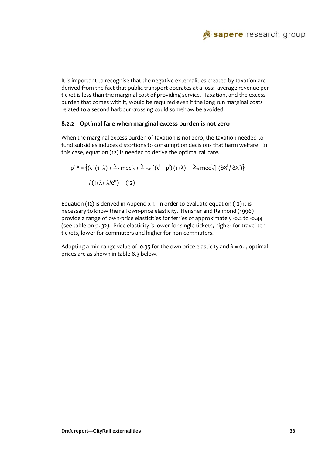

It is important to recognise that the negative externalities created by taxation are derived from the fact that public transport operates at a loss: average revenue per ticket is less than the marginal cost of providing service. Taxation, and the excess burden that comes with it, would be required even if the long run marginal costs related to a second harbour crossing could somehow be avoided.

#### **8.2.2 Optimal fare when marginal excess burden is not zero**

When the marginal excess burden of taxation is not zero, the taxation needed to fund subsidies induces distortions to consumption decisions that harm welfare. In this case, equation (12) is needed to derive the optimal rail fare.

$$
p^{r} * = \left\{ (c^{r} (1+\lambda) + \sum_{h} m e c^{r}_{h} + \sum_{i > r} \left[ (c^{i} - p^{i}) (1+\lambda) + \sum_{h} m e c^{i}_{h} \right] (0 \lambda^{i} / 0 \lambda^{r}) \right\}
$$
\n
$$
/ (1+\lambda + \lambda / e^{r}) \qquad (12)
$$

Equation (12) is derived in Appendix 1. In order to evaluate equation (12) it is necessary to know the rail own-price elasticity. Hensher and Raimond (1996) provide a range of own‐price elasticities for ferries of approximately ‐0.2 to ‐0.44 (see table on p. 32). Price elasticity is lower for single tickets, higher for travel ten tickets, lower for commuters and higher for non‐commuters.

Adopting a mid-range value of -0.35 for the own price elasticity and  $\lambda$  = 0.1, optimal prices are as shown in table 8.3 below.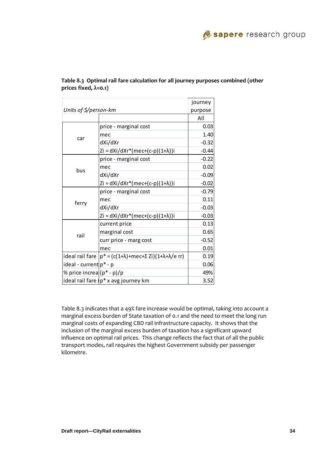|                                  |                                                                              | journey |
|----------------------------------|------------------------------------------------------------------------------|---------|
| Units of $\frac{2}{7}$ person-km |                                                                              | purpose |
|                                  |                                                                              | All     |
|                                  | price - marginal cost                                                        | 0.03    |
|                                  | mec                                                                          | 1.40    |
| car                              | dXi/dXr                                                                      | $-0.32$ |
|                                  | Zi = dXi/dXr*(mec+(c-p)(1+λ))i                                               | $-0.44$ |
|                                  | price - marginal cost                                                        | $-0.22$ |
| bus                              | mec                                                                          | 0.02    |
|                                  | dXi/dXr                                                                      | $-0.09$ |
|                                  | $Zi = dXi/dXr*(mec+(c-p)(1+\lambda))i$                                       | $-0.02$ |
|                                  | price - marginal cost                                                        | $-0.79$ |
|                                  | mec                                                                          | 0.11    |
| ferry                            | dXi/dXr                                                                      | $-0.03$ |
|                                  | Zi = dXi/dXr*(mec+(c-p)(1+λ))i                                               | $-0.03$ |
|                                  | current price                                                                | 0.13    |
| rail                             | marginal cost                                                                | 0.65    |
|                                  | curr price - marg cost                                                       | $-0.52$ |
|                                  | mec                                                                          | 0.01    |
|                                  | ideal rail fare $p^* = (c(1+\lambda)+mec+\Sigma Zi)(1+\lambda+\lambda/e$ rr) | 0.19    |
| ideal - current p* - p           |                                                                              | 0.06    |
| % price increa (p* - p)/p        |                                                                              | 49%     |
|                                  | ideal rail fare $(p^*x)$ avg journey km                                      | 3.52    |

**Table 8.3 Optimal rail fare calculation for all journey purposes combined (other prices fixed, λ=0.1)**

Table 8.3 indicates that a 49% fare increase would be optimal, taking into account a marginal excess burden of State taxation of 0.1 and the need to meet the long run marginal costs of expanding CBD rail infrastructure capacity. It shows that the inclusion of the marginal excess burden of taxation has a significant upward influence on optimal rail prices. This change reflects the fact that of all the public transport modes, rail requires the highest Government subsidy per passenger kilometre.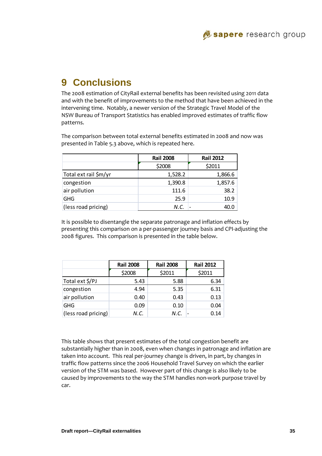# **9 Conclusions**

The 2008 estimation of CityRail external benefits has been revisited using 2011 data and with the benefit of improvements to the method that have been achieved in the intervening time. Notably, a newer version of the Strategic Travel Model of the NSW Bureau of Transport Statistics has enabled improved estimates of traffic flow patterns.

The comparison between total external benefits estimated in 2008 and now was presented in Table 5.3 above, which is repeated here.

|                       | <b>Rail 2008</b> | <b>Rail 2012</b> |
|-----------------------|------------------|------------------|
|                       | \$2008           | \$2011           |
| Total ext rail \$m/yr | 1,528.2          | 1,866.6          |
| congestion            | 1,390.8          | 1,857.6          |
| air pollution         | 111.6            | 38.2             |
| <b>GHG</b>            | 25.9             | 10.9             |
| (less road pricing)   | N.C.             | 40.0             |

It is possible to disentangle the separate patronage and inflation effects by presenting this comparison on a per‐passenger journey basis and CPI‐adjusting the 2008 figures. This comparison is presented in the table below.

|                     | <b>Rail 2008</b> | <b>Rail 2008</b> | <b>Rail 2012</b> |
|---------------------|------------------|------------------|------------------|
|                     | \$2008           | \$2011           | \$2011           |
| Total ext \$/PJ     | 5.43             | 5.88             | 6.34             |
| congestion          | 4.94             | 5.35             | 6.31             |
| air pollution       | 0.40             | 0.43             | 0.13             |
| <b>GHG</b>          | 0.09             | 0.10             | 0.04             |
| (less road pricing) | N.C.             | N.C.             | 0.14             |

This table shows that present estimates of the total congestion benefit are substantially higher than in 2008, even when changes in patronage and inflation are taken into account. This real per‐journey change is driven, in part, by changes in traffic flow patterns since the 2006 Household Travel Survey on which the earlier version of the STM was based. However part of this change is also likely to be caused by improvements to the way the STM handles non‐work purpose travel by car.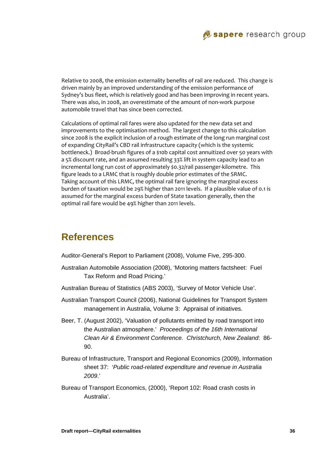

Relative to 2008, the emission externality benefits of rail are reduced. This change is driven mainly by an improved understanding of the emission performance of Sydney's bus fleet, which is relatively good and has been improving in recent years. There was also, in 2008, an overestimate of the amount of non‐work purpose automobile travel that has since been corrected.

Calculations of optimal rail fares were also updated for the new data set and improvements to the optimisation method. The largest change to this calculation since 2008 is the explicit inclusion of a rough estimate of the long run marginal cost of expanding CityRail's CBD rail infrastructure capacity (which is the systemic bottleneck.) Broad‐brush figures of a \$10b capital cost annuitized over 50 years with a 5% discount rate, and an assumed resulting 33% lift in system capacity lead to an incremental long run cost of approximately \$0.32/rail passenger-kilometre. This figure leads to a LRMC that is roughly double prior estimates of the SRMC. Taking account of this LRMC, the optimal rail fare ignoring the marginal excess burden of taxation would be 29% higher than 2011 levels. If a plausible value of 0.1 is assumed for the marginal excess burden of State taxation generally, then the optimal rail fare would be 49% higher than 2011 levels.

# **References**

Auditor-General's Report to Parliament (2008), Volume Five, 295-300.

- Australian Automobile Association (2008), 'Motoring matters factsheet: Fuel Tax Reform and Road Pricing.'
- Australian Bureau of Statistics (ABS 2003), 'Survey of Motor Vehicle Use'.
- Australian Transport Council (2006), National Guidelines for Transport System management in Australia, Volume 3: Appraisal of initiatives.
- Beer, T. (August 2002), 'Valuation of pollutants emitted by road transport into the Australian atmosphere.' *Proceedings of the 16th International Clean Air & Environment Conference. Christchurch, New Zealand*: 86- 90.
- Bureau of Infrastructure, Transport and Regional Economics (2009), Information sheet 37: '*Public road-related expenditure and revenue in Australia 2009*.'
- Bureau of Transport Economics, (2000), 'Report 102: Road crash costs in Australia'.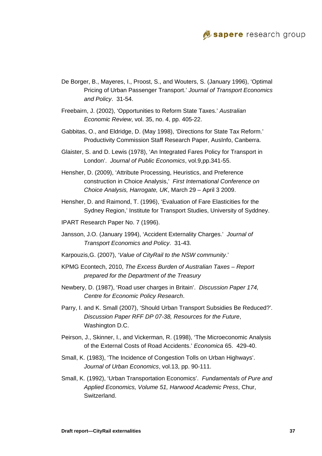

- De Borger, B., Mayeres, I., Proost, S., and Wouters, S. (January 1996), 'Optimal Pricing of Urban Passenger Transport.' *Journal of Transport Economics and Policy*. 31-54.
- Freebairn, J. (2002), 'Opportunities to Reform State Taxes.' *Australian Economic Review*, vol. 35, no. 4, pp. 405-22.
- Gabbitas, O., and Eldridge, D. (May 1998), 'Directions for State Tax Reform.' Productivity Commission Staff Research Paper, AusInfo, Canberra.
- Glaister, S. and D. Lewis (1978), 'An Integrated Fares Policy for Transport in London'. *Journal of Public Economics*, vol.9,pp.341-55.
- Hensher, D. (2009), 'Attribute Processing, Heuristics, and Preference construction in Choice Analysis,' *First International Conference on Choice Analysis, Harrogate, UK*, March 29 – April 3 2009.
- Hensher, D. and Raimond, T. (1996), 'Evaluation of Fare Elasticities for the Sydney Region,' Institute for Transport Studies, University of Syddney.
- IPART Research Paper No. 7 (1996).
- Jansson, J.O. (January 1994), 'Accident Externality Charges.' *Journal of Transport Economics and Policy*. 31-43.
- Karpouzis,G. (2007), '*Value of CityRail to the NSW community*.'
- KPMG Econtech, 2010, *The Excess Burden of Australian Taxes Report prepared for the Department of the Treasury*
- Newbery, D. (1987), 'Road user charges in Britain'. *Discussion Paper 174, Centre for Economic Policy Research*.
- Parry, I. and K. Small (2007), 'Should Urban Transport Subsidies Be Reduced?'*. Discussion Paper RFF DP 07-38, Resources for the Future*, Washington D.C.
- Peirson, J., Skinner, I., and Vickerman, R. (1998), 'The Microeconomic Analysis of the External Costs of Road Accidents.' *Economica* 65. 429-40.
- Small, K. (1983), 'The Incidence of Congestion Tolls on Urban Highways'. *Journal of Urban Economics*, vol.13, pp. 90-111.
- Small, K. (1992), 'Urban Transportation Economics'. *Fundamentals of Pure and Applied Economics, Volume 51, Harwood Academic Press*, Chur, Switzerland.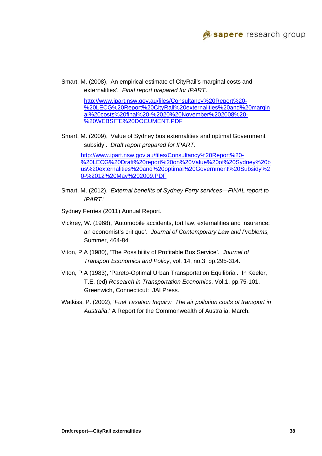

Smart, M. (2008), 'An empirical estimate of CityRail's marginal costs and externalities'. *Final report prepared for IPART*.

> http://www.ipart.nsw.gov.au/files/Consultancy%20Report%20- %20LECG%20Report%20CityRail%20externalities%20and%20margin al%20costs%20final%20-%2020%20November%202008%20- %20WEBSITE%20DOCUMENT.PDF

Smart, M. (2009), 'Value of Sydney bus externalities and optimal Government subsidy'. *Draft report prepared for IPART*.

http://www.ipart.nsw.gov.au/files/Consultancy%20Report%20- %20LECG%20Draft%20report%20on%20Value%20of%20Sydney%20b us%20externalities%20and%20optimal%20Government%20Subsidy%2 0-%2012%20May%202009.PDF

- Smart, M. (2012), '*External benefits of Sydney Ferry services—FINAL report to IPART.*'
- Sydney Ferries (2011) Annual Report.
- Vickrey, W. (1968), 'Automobile accidents, tort law, externalities and insurance: an economist's critique'. *Journal of Contemporary Law and Problems,*  Summer, 464-84.
- Viton, P.A (1980), 'The Possibility of Profitable Bus Service'. *Journal of Transport Economics and Policy*, vol. 14, no.3, pp.295-314.
- Viton, P.A (1983), 'Pareto-Optimal Urban Transportation Equilibria'. In Keeler, T.E. (ed) *Research in Transportation Economics*, Vol.1, pp.75-101. Greenwich, Connecticut: JAI Press.
- Watkiss, P. (2002), '*Fuel Taxation Inquiry: The air pollution costs of transport in Australia*,' A Report for the Commonwealth of Australia, March.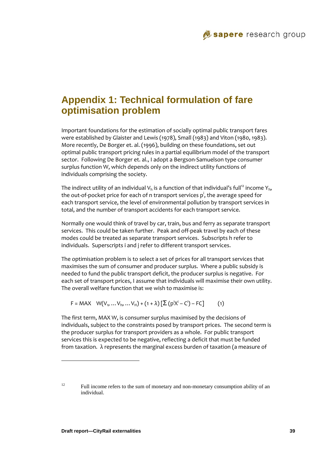# **Appendix 1: Technical formulation of fare optimisation problem**

Important foundations for the estimation of socially optimal public transport fares were established by Glaister and Lewis (1978), Small (1983) and Viton (1980, 1983). More recently, De Borger et. al. (1996), building on these foundations, set out optimal public transport pricing rules in a partial equilibrium model of the transport sector. Following De Borger et. al., I adopt a Bergson‐Samuelson type consumer surplus function W, which depends only on the indirect utility functions of individuals comprising the society.

The indirect utility of an individual  $V<sub>b</sub>$  is a function of that individual's full<sup>12</sup> income  $Y<sub>b</sub>$ , the out-of-pocket price for each of n transport services p<sup>i</sup>, the average speed for each transport service, the level of environmental pollution by transport services in total, and the number of transport accidents for each transport service.

Normally one would think of travel by car, train, bus and ferry as separate transport services. This could be taken further. Peak and off‐peak travel by each of these modes could be treated as separate transport services. Subscripts h refer to individuals. Superscripts i and j refer to different transport services.

The optimisation problem is to select a set of prices for all transport services that maximises the sum of consumer and producer surplus. Where a public subsidy is needed to fund the public transport deficit, the producer surplus is negative. For each set of transport prices, I assume that individuals will maximise their own utility. The overall welfare function that we wish to maximise is:

$$
F = MAX \quad W(V_1, ...V_h, ...V_H) + (1 + \lambda) [\Sigma (p^i X^i - C^i) - FC] \tag{1}
$$

The first term, MAX W, is consumer surplus maximised by the decisions of individuals, subject to the constraints posed by transport prices. The second term is the producer surplus for transport providers as a whole. For public transport services this is expected to be negative, reflecting a deficit that must be funded from taxation. λ represents the marginal excess burden of taxation (a measure of

l

<sup>&</sup>lt;sup>12</sup> Full income refers to the sum of monetary and non-monetary consumption ability of an individual.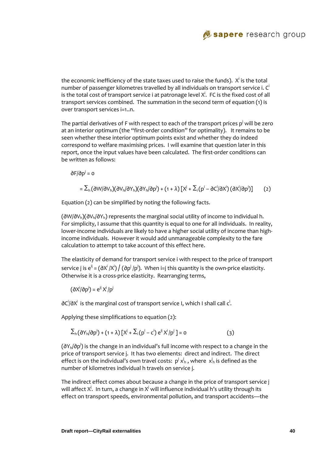

the economic inefficiency of the state taxes used to raise the funds).  $\bm{\mathsf{X}}^{\mathsf{i}}$  is the total number of passenger kilometres travelled by all individuals on transport service i.  $C<sup>i</sup>$ is the total cost of transport service i at patronage level  $\boldsymbol{\mathsf{X}}^{\mathsf{i}}$ . FC is the fixed cost of all transport services combined. The summation in the second term of equation (1) is over transport services i=1..n.

The partial derivatives of F with respect to each of the transport prices  $\mathsf{p}^\mathsf{j}$  will be zero at an interior optimum (the "first-order condition" for optimality). It remains to be seen whether these interior optimum points exist and whether they do indeed correspond to welfare maximising prices. I will examine that question later in this report, once the input values have been calculated. The first-order conditions can be written as follows:

 $\partial F/\partial p^j = o$ 

$$
= \sum_{h} (\partial W/\partial V_{h})(\partial V_{h}/\partial Y_{h})(\partial Y_{h}/\partial p^{j}) + (1+\lambda) \left[ X^{j} + \sum_{i} (p^{i} - \partial C^{i}/\partial X^{i})(\partial X^{i}/\partial p^{j}) \right] \qquad (2)
$$

Equation (2) can be simplified by noting the following facts.

(∂W/∂Vh)(∂Vh/∂Yh) represents the marginal social utility of income to individual h. For simplicity, I assume that this quantity is equal to one for all individuals. In reality, lower-income individuals are likely to have a higher social utility of income than highincome individuals. However it would add unmanageable complexity to the fare calculation to attempt to take account of this effect here.

The elasticity of demand for transport service i with respect to the price of transport service j is e $^{\text{ij}}$  = (∂X $^{\text{i}}$  /X $^{\text{i}}$ )  $/$  (∂p $^{\text{j}}$  /p $^{\text{j}}$ ). When i=j this quantity is the own-price elasticity. Otherwise it is a cross‐price elasticity. Rearranging terms,

(∂X<sup>i</sup>/∂p<sup>j</sup>) = e<sup>ij</sup> X<sup>i</sup>/p<sup>j</sup>

∂C<sup>i</sup>/∂X<sup>i</sup> is the marginal cost of transport service I, which I shall call c<sup>i</sup>.

Applying these simplifications to equation (2):

$$
\sum_{h} (\partial Y_{h}/\partial p^{j}) + (1+\lambda) \left[ X^{j} + \sum_{i} (p^{i} - c^{i}) e^{ij} X^{i}/p^{j} \right] = 0
$$
 (3)

(∂Y<sub>h</sub>/∂p<sup>i</sup>) is the change in an individual's full income with respect to a change in the price of transport service j. It has two elements: direct and indirect. The direct effect is on the individual's own travel costs:  $p^j\,x^j_{\rm h}$  , where  $\,x^j_{\rm h}$  is defined as the number of kilometres individual h travels on service j.

The indirect effect comes about because a change in the price of transport service j will affect X $^{\rm j}$ . In turn, a change in X $^{\rm j}$  will influence individual h's utility through its effect on transport speeds, environmental pollution, and transport accidents—the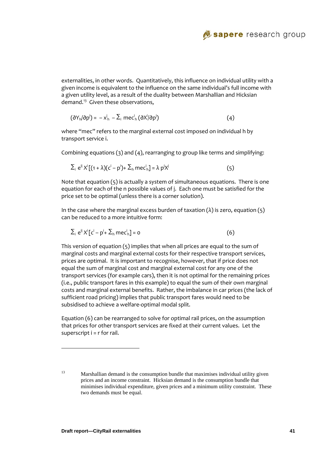

externalities, in other words. Quantitatively, this influence on individual utility with a given income is equivalent to the influence on the same individual's full income with a given utility level, as a result of the duality between Marshallian and Hicksian demand. $13$  Given these observations,

$$
(\partial Y_h/\partial p^j) = -x_h^j - \sum_i m e c_h^i (\partial X^j/\partial p^j)
$$
 (4)

where "mec" refers to the marginal external cost imposed on individual h by transport service i.

Combining equations (3) and (4), rearranging to group like terms and simplifying:

$$
\sum_{i} e^{ij} X^{i} [(1 + \lambda)(c^{i} - p^{i}) + \sum_{h} mec^{i}{}_{h}] = \lambda p^{i} X^{i}
$$
 (5)

Note that equation (5) is actually a system of simultaneous equations. There is one equation for each of the n possible values of j. Each one must be satisfied for the price set to be optimal (unless there is a corner solution).

In the case where the marginal excess burden of taxation  $(\lambda)$  is zero, equation  $(5)$ can be reduced to a more intuitive form:

$$
\sum_{i} e^{ij} X^{i} [c^{i} - p^{i} + \sum_{h} m e c^{i}_{h}] = 0
$$
 (6)

This version of equation (5) implies that when all prices are equal to the sum of marginal costs and marginal external costs for their respective transport services, prices are optimal. It is important to recognise, however, that if price does not equal the sum of marginal cost and marginal external cost for any one of the transport services (for example cars), then it is not optimal for the remaining prices (i.e., public transport fares in this example) to equal the sum of their own marginal costs and marginal external benefits. Rather, the imbalance in car prices (the lack of sufficient road pricing) implies that public transport fares would need to be subsidised to achieve a welfare‐optimal modal split.

Equation (6) can be rearranged to solve for optimal rail prices, on the assumption that prices for other transport services are fixed at their current values. Let the superscript  $i = r$  for rail.

l

<sup>&</sup>lt;sup>13</sup> Marshallian demand is the consumption bundle that maximises individual utility given prices and an income constraint. Hicksian demand is the consumption bundle that minimises individual expenditure, given prices and a minimum utility constraint. These two demands must be equal.